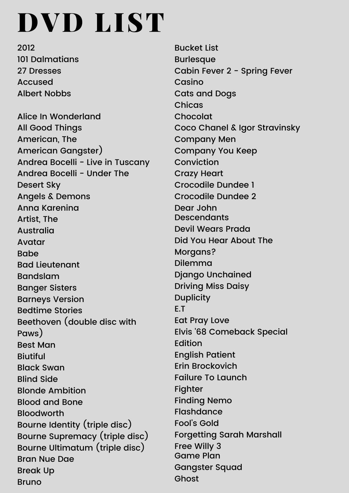## DVD LIST

2012 101 Dalmatians 27 Dresses Accused Albert Nobbs

Alice In Wonderland All Good Things American, The American Gangster) Andrea Bocelli - Live in Tuscany Andrea Bocelli - Under The Desert Sky Angels & Demons Anna Karenina Artist, The Australia Avatar Babe Bad Lieutenant Bandslam Banger Sisters Barneys Version Bedtime Stories Beethoven (double disc with Paws) Best Man Biutiful Black Swan Blind Side Blonde Ambition Blood and Bone Bloodworth Bourne Identity (triple disc) Bourne Supremacy (triple disc) Bourne Ultimatum (triple disc) Bran Nue Dae Break Up Bruno

Bucket List Burlesque Cabin Fever 2 - Spring Fever Casino Cats and Dogs Chicas Chocolat Coco Chanel & Igor Stravinsky Company Men Company You Keep Conviction Crazy Heart Crocodile Dundee 1 Crocodile Dundee 2 Dear John Descendants Devil Wears Prada Did You Hear About The Morgans? Dilemma Django Unchained Driving Miss Daisy **Duplicity** E.T Eat Pray Love Elvis '68 Comeback Special Edition English Patient Erin Brockovich Failure To Launch Fighter Finding Nemo Flashdance Fool's Gold Forgetting Sarah Marshall Free Willy 3 Game Plan Gangster Squad Ghost